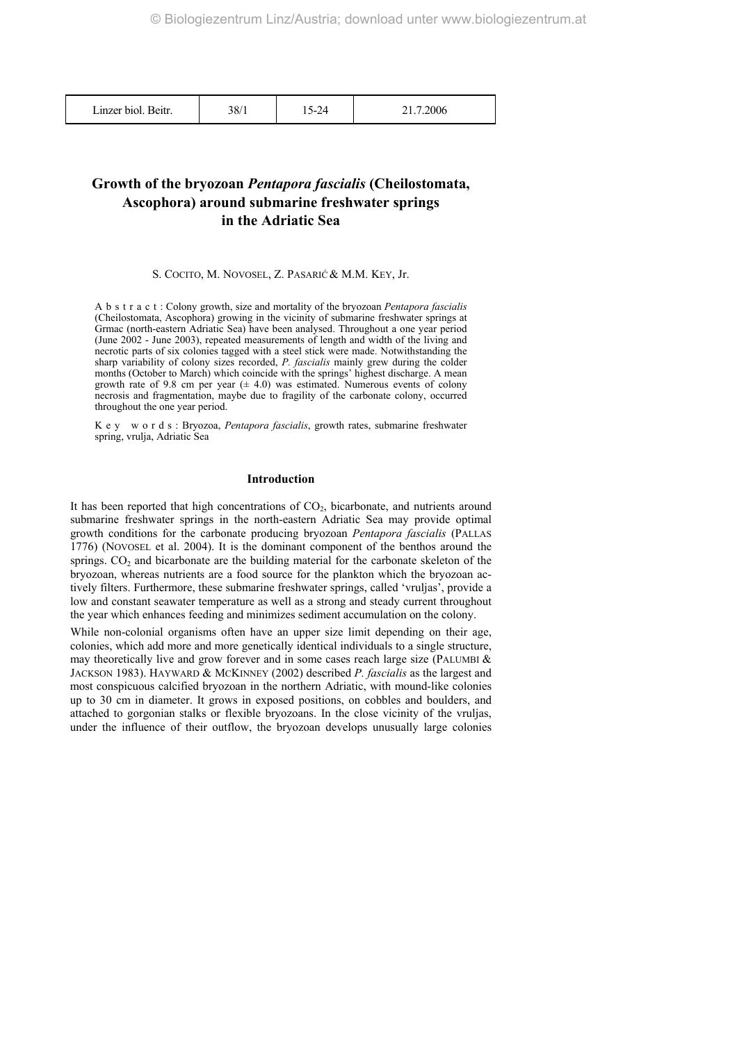# **Growth of the bryozoan** *Pentapora fascialis* **(Cheilostomata, Ascophora) around submarine freshwater springs in the Adriatic Sea**

S. COCITO, M. NOVOSEL, Z. PASARIĆ& M.M. KEY, Jr.

A b s t r a c t : Colony growth, size and mortality of the bryozoan *Pentapora fascialis* (Cheilostomata, Ascophora) growing in the vicinity of submarine freshwater springs at Grmac (north-eastern Adriatic Sea) have been analysed. Throughout a one year period (June 2002 - June 2003), repeated measurements of length and width of the living and necrotic parts of six colonies tagged with a steel stick were made. Notwithstanding the sharp variability of colony sizes recorded, *P. fascialis* mainly grew during the colder months (October to March) which coincide with the springs' highest discharge. A mean growth rate of 9.8 cm per year  $(± 4.0)$  was estimated. Numerous events of colony necrosis and fragmentation, maybe due to fragility of the carbonate colony, occurred throughout the one year period.

K e y w o r d s : Bryozoa, *Pentapora fascialis*, growth rates, submarine freshwater spring, vrulja, Adriatic Sea

# **Introduction**

It has been reported that high concentrations of  $CO<sub>2</sub>$ , bicarbonate, and nutrients around submarine freshwater springs in the north-eastern Adriatic Sea may provide optimal growth conditions for the carbonate producing bryozoan *Pentapora fascialis* (PALLAS 1776) (NOVOSEL et al. 2004). It is the dominant component of the benthos around the springs.  $CO<sub>2</sub>$  and bicarbonate are the building material for the carbonate skeleton of the bryozoan, whereas nutrients are a food source for the plankton which the bryozoan actively filters. Furthermore, these submarine freshwater springs, called 'vruljas', provide a low and constant seawater temperature as well as a strong and steady current throughout the year which enhances feeding and minimizes sediment accumulation on the colony.

While non-colonial organisms often have an upper size limit depending on their age, colonies, which add more and more genetically identical individuals to a single structure, may theoretically live and grow forever and in some cases reach large size (PALUMBI  $\&$ JACKSON 1983). HAYWARD & MCKINNEY (2002) described *P. fascialis* as the largest and most conspicuous calcified bryozoan in the northern Adriatic, with mound-like colonies up to 30 cm in diameter. It grows in exposed positions, on cobbles and boulders, and attached to gorgonian stalks or flexible bryozoans. In the close vicinity of the vruljas, under the influence of their outflow, the bryozoan develops unusually large colonies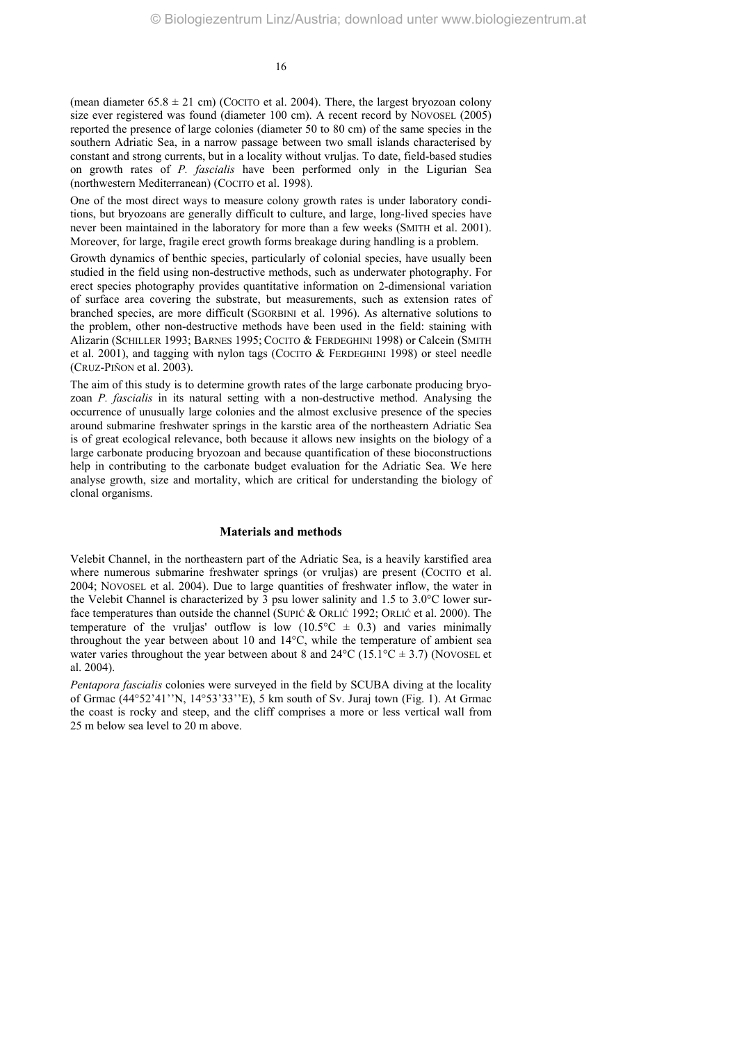(mean diameter  $65.8 \pm 21$  cm) (COCITO et al. 2004). There, the largest bryozoan colony size ever registered was found (diameter 100 cm). A recent record by NOVOSEL (2005) reported the presence of large colonies (diameter 50 to 80 cm) of the same species in the southern Adriatic Sea, in a narrow passage between two small islands characterised by constant and strong currents, but in a locality without vruljas. To date, field-based studies on growth rates of *P. fascialis* have been performed only in the Ligurian Sea (northwestern Mediterranean) (COCITO et al. 1998).

One of the most direct ways to measure colony growth rates is under laboratory conditions, but bryozoans are generally difficult to culture, and large, long-lived species have never been maintained in the laboratory for more than a few weeks (SMITH et al. 2001). Moreover, for large, fragile erect growth forms breakage during handling is a problem.

Growth dynamics of benthic species, particularly of colonial species, have usually been studied in the field using non-destructive methods, such as underwater photography. For erect species photography provides quantitative information on 2-dimensional variation of surface area covering the substrate, but measurements, such as extension rates of branched species, are more difficult (SGORBINI et al. 1996). As alternative solutions to the problem, other non-destructive methods have been used in the field: staining with Alizarin (SCHILLER 1993; BARNES 1995; COCITO & FERDEGHINI 1998) or Calcein (SMITH et al. 2001), and tagging with nylon tags (COCITO & FERDEGHINI 1998) or steel needle (CRUZ-PIÑON et al. 2003).

The aim of this study is to determine growth rates of the large carbonate producing bryozoan *P. fascialis* in its natural setting with a non-destructive method. Analysing the occurrence of unusually large colonies and the almost exclusive presence of the species around submarine freshwater springs in the karstic area of the northeastern Adriatic Sea is of great ecological relevance, both because it allows new insights on the biology of a large carbonate producing bryozoan and because quantification of these bioconstructions help in contributing to the carbonate budget evaluation for the Adriatic Sea. We here analyse growth, size and mortality, which are critical for understanding the biology of clonal organisms.

### **Materials and methods**

Velebit Channel, in the northeastern part of the Adriatic Sea, is a heavily karstified area where numerous submarine freshwater springs (or vrulias) are present (COCITO et al. 2004; NOVOSEL et al. 2004). Due to large quantities of freshwater inflow, the water in the Velebit Channel is characterized by 3 psu lower salinity and 1.5 to 3.0°C lower surface temperatures than outside the channel (SUPIĆ & ORLIĆ 1992; ORLIĆ et al. 2000). The temperature of the vruljas' outflow is low  $(10.5^{\circ}\text{C} \pm 0.3)$  and varies minimally throughout the year between about 10 and 14°C, while the temperature of ambient sea water varies throughout the year between about 8 and  $24^{\circ}$ C (15.1°C  $\pm$  3.7) (NOVOSEL et al. 2004).

*Pentapora fascialis* colonies were surveyed in the field by SCUBA diving at the locality of Grmac (44°52'41''N, 14°53'33''E), 5 km south of Sv. Juraj town (Fig. 1). At Grmac the coast is rocky and steep, and the cliff comprises a more or less vertical wall from 25 m below sea level to 20 m above.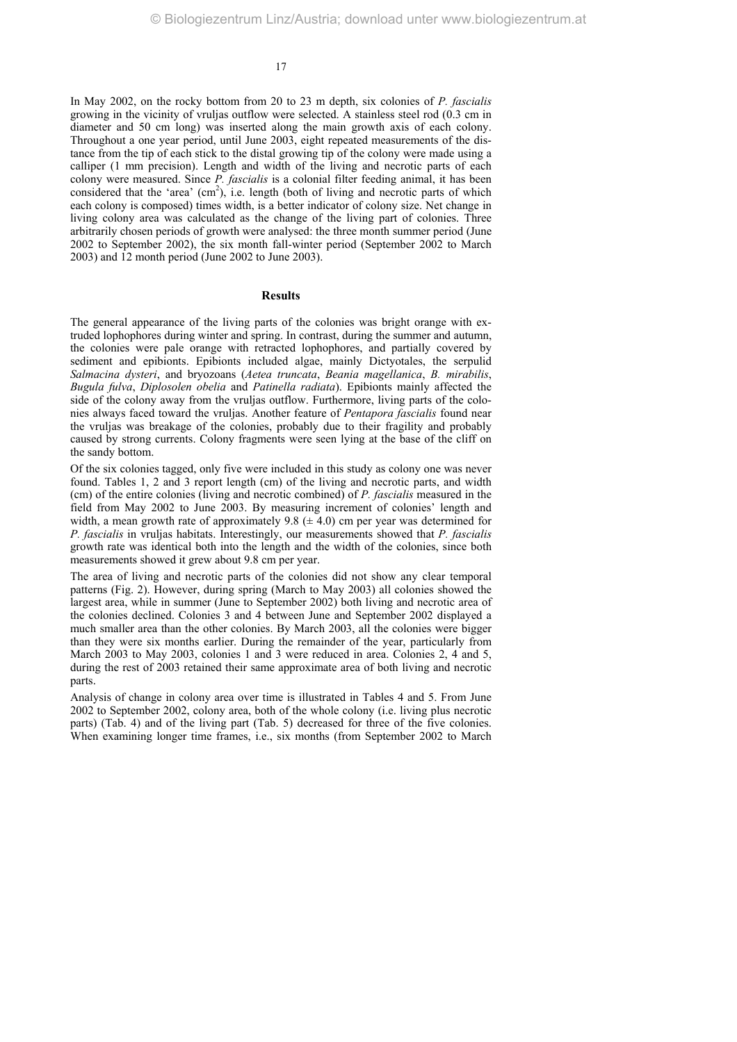In May 2002, on the rocky bottom from 20 to 23 m depth, six colonies of *P. fascialis* growing in the vicinity of vruljas outflow were selected. A stainless steel rod (0.3 cm in diameter and 50 cm long) was inserted along the main growth axis of each colony. Throughout a one year period, until June 2003, eight repeated measurements of the distance from the tip of each stick to the distal growing tip of the colony were made using a calliper (1 mm precision). Length and width of the living and necrotic parts of each colony were measured. Since *P. fascialis* is a colonial filter feeding animal, it has been considered that the 'area'  $(cm<sup>2</sup>)$ , i.e. length (both of living and necrotic parts of which each colony is composed) times width, is a better indicator of colony size. Net change in living colony area was calculated as the change of the living part of colonies. Three arbitrarily chosen periods of growth were analysed: the three month summer period (June 2002 to September 2002), the six month fall-winter period (September 2002 to March 2003) and 12 month period (June 2002 to June 2003).

### **Results**

The general appearance of the living parts of the colonies was bright orange with extruded lophophores during winter and spring. In contrast, during the summer and autumn, the colonies were pale orange with retracted lophophores, and partially covered by sediment and epibionts. Epibionts included algae, mainly Dictyotales, the serpulid *Salmacina dysteri*, and bryozoans (*Aetea truncata*, *Beania magellanica*, *B. mirabilis*, *Bugula fulva*, *Diplosolen obelia* and *Patinella radiata*). Epibionts mainly affected the side of the colony away from the vruljas outflow. Furthermore, living parts of the colonies always faced toward the vruljas. Another feature of *Pentapora fascialis* found near the vruljas was breakage of the colonies, probably due to their fragility and probably caused by strong currents. Colony fragments were seen lying at the base of the cliff on the sandy bottom.

Of the six colonies tagged, only five were included in this study as colony one was never found. Tables 1, 2 and 3 report length (cm) of the living and necrotic parts, and width (cm) of the entire colonies (living and necrotic combined) of *P. fascialis* measured in the field from May 2002 to June 2003. By measuring increment of colonies' length and width, a mean growth rate of approximately 9.8  $(\pm 4.0)$  cm per year was determined for *P. fascialis* in vruljas habitats. Interestingly, our measurements showed that *P. fascialis* growth rate was identical both into the length and the width of the colonies, since both measurements showed it grew about 9.8 cm per year.

The area of living and necrotic parts of the colonies did not show any clear temporal patterns (Fig. 2). However, during spring (March to May 2003) all colonies showed the largest area, while in summer (June to September 2002) both living and necrotic area of the colonies declined. Colonies 3 and 4 between June and September 2002 displayed a much smaller area than the other colonies. By March 2003, all the colonies were bigger than they were six months earlier. During the remainder of the year, particularly from March 2003 to May 2003, colonies 1 and 3 were reduced in area. Colonies 2, 4 and 5, during the rest of 2003 retained their same approximate area of both living and necrotic parts.

Analysis of change in colony area over time is illustrated in Tables 4 and 5. From June 2002 to September 2002, colony area, both of the whole colony (i.e. living plus necrotic parts) (Tab. 4) and of the living part (Tab. 5) decreased for three of the five colonies. When examining longer time frames, i.e., six months (from September 2002 to March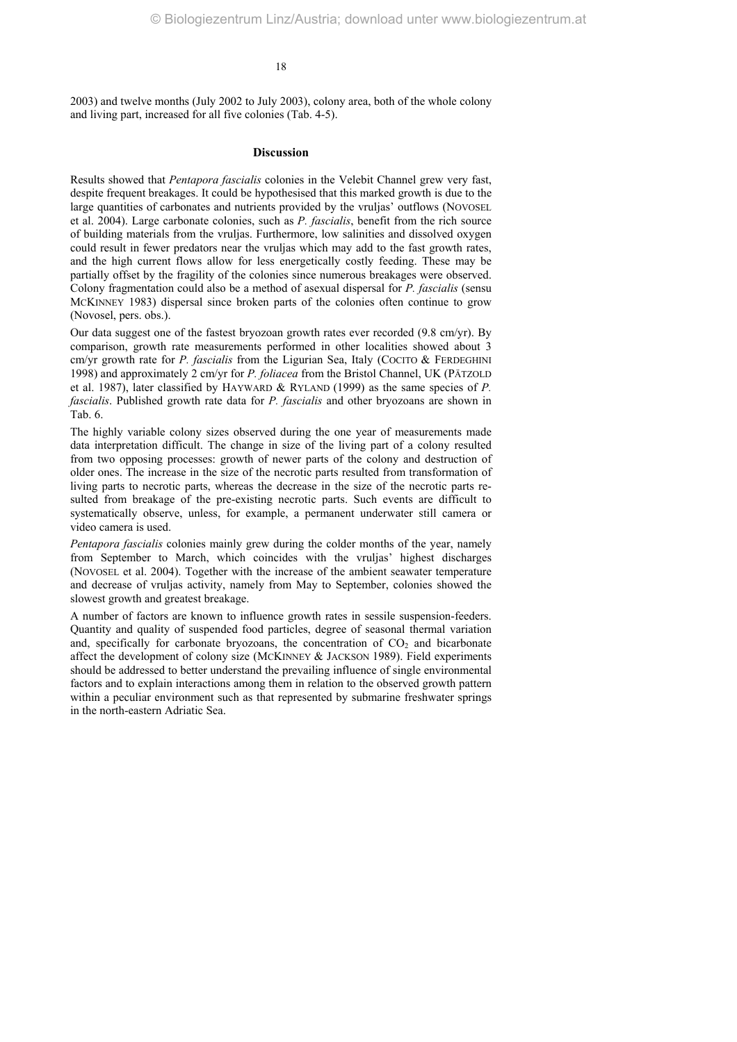2003) and twelve months (July 2002 to July 2003), colony area, both of the whole colony and living part, increased for all five colonies (Tab. 4-5).

# **Discussion**

Results showed that *Pentapora fascialis* colonies in the Velebit Channel grew very fast, despite frequent breakages. It could be hypothesised that this marked growth is due to the large quantities of carbonates and nutrients provided by the vrulias' outflows (NOVOSEL et al. 2004). Large carbonate colonies, such as *P. fascialis*, benefit from the rich source of building materials from the vruljas. Furthermore, low salinities and dissolved oxygen could result in fewer predators near the vruljas which may add to the fast growth rates, and the high current flows allow for less energetically costly feeding. These may be partially offset by the fragility of the colonies since numerous breakages were observed. Colony fragmentation could also be a method of asexual dispersal for *P. fascialis* (sensu MCKINNEY 1983) dispersal since broken parts of the colonies often continue to grow (Novosel, pers. obs.).

Our data suggest one of the fastest bryozoan growth rates ever recorded (9.8 cm/yr). By comparison, growth rate measurements performed in other localities showed about 3 cm/yr growth rate for *P. fascialis* from the Ligurian Sea, Italy (COCITO & FERDEGHINI 1998) and approximately 2 cm/yr for *P. foliacea* from the Bristol Channel, UK (PÄTZOLD et al. 1987), later classified by HAYWARD & RYLAND (1999) as the same species of *P. fascialis*. Published growth rate data for *P. fascialis* and other bryozoans are shown in Tab. 6.

The highly variable colony sizes observed during the one year of measurements made data interpretation difficult. The change in size of the living part of a colony resulted from two opposing processes: growth of newer parts of the colony and destruction of older ones. The increase in the size of the necrotic parts resulted from transformation of living parts to necrotic parts, whereas the decrease in the size of the necrotic parts resulted from breakage of the pre-existing necrotic parts. Such events are difficult to systematically observe, unless, for example, a permanent underwater still camera or video camera is used.

*Pentapora fascialis* colonies mainly grew during the colder months of the year, namely from September to March, which coincides with the vruljas' highest discharges (NOVOSEL et al. 2004). Together with the increase of the ambient seawater temperature and decrease of vruljas activity, namely from May to September, colonies showed the slowest growth and greatest breakage.

A number of factors are known to influence growth rates in sessile suspension-feeders. Quantity and quality of suspended food particles, degree of seasonal thermal variation and, specifically for carbonate bryozoans, the concentration of  $CO<sub>2</sub>$  and bicarbonate affect the development of colony size (MCKINNEY & JACKSON 1989). Field experiments should be addressed to better understand the prevailing influence of single environmental factors and to explain interactions among them in relation to the observed growth pattern within a peculiar environment such as that represented by submarine freshwater springs in the north-eastern Adriatic Sea.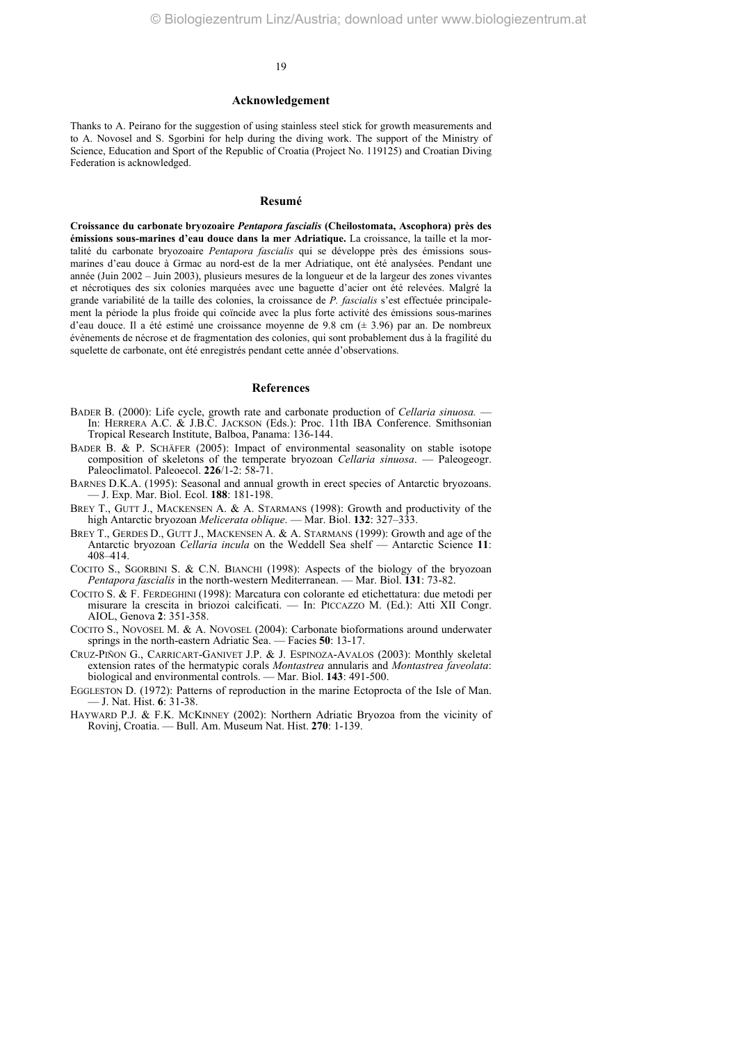#### **Acknowledgement**

Thanks to A. Peirano for the suggestion of using stainless steel stick for growth measurements and to A. Novosel and S. Sgorbini for help during the diving work. The support of the Ministry of Science, Education and Sport of the Republic of Croatia (Project No. 119125) and Croatian Diving Federation is acknowledged.

### **Resumé**

**Croissance du carbonate bryozoaire** *Pentapora fascialis* **(Cheilostomata, Ascophora) près des émissions sous-marines d'eau douce dans la mer Adriatique.** La croissance, la taille et la mortalité du carbonate bryozoaire *Pentapora fascialis* qui se développe près des émissions sousmarines d'eau douce à Grmac au nord-est de la mer Adriatique, ont été analysées. Pendant une année (Juin 2002 – Juin 2003), plusieurs mesures de la longueur et de la largeur des zones vivantes et nécrotiques des six colonies marquées avec une baguette d'acier ont été relevées. Malgré la grande variabilité de la taille des colonies, la croissance de *P. fascialis* s'est effectuée principalement la période la plus froide qui coïncide avec la plus forte activité des émissions sous-marines d'eau douce. Il a été estimé une croissance moyenne de 9.8 cm (± 3.96) par an. De nombreux évènements de nécrose et de fragmentation des colonies, qui sont probablement dus à la fragilité du squelette de carbonate, ont été enregistrés pendant cette année d'observations.

# **References**

- BADER B. (2000): Life cycle, growth rate and carbonate production of *Cellaria sinuosa.* In: HERRERA A.C. & J.B.C. JACKSON (Eds.): Proc. 11th IBA Conference. Smithsonian Tropical Research Institute, Balboa, Panama: 136-144.
- BADER B. & P. SCHÄFER (2005): Impact of environmental seasonality on stable isotope composition of skeletons of the temperate bryozoan *Cellaria sinuosa*. — Paleogeogr. Paleoclimatol. Paleoecol. **226**/1-2: 58-71.
- BARNES D.K.A. (1995): Seasonal and annual growth in erect species of Antarctic bryozoans. — J. Exp. Mar. Biol. Ecol. **188**: 181-198.
- BREY T., GUTT J., MACKENSEN A. & A. STARMANS (1998): Growth and productivity of the high Antarctic bryozoan *Melicerata oblique*. — Mar. Biol. **132**: 327–333.
- BREY T., GERDES D., GUTT J., MACKENSEN A. & A. STARMANS (1999): Growth and age of the Antarctic bryozoan *Cellaria incula* on the Weddell Sea shelf — Antarctic Science **11**: 408–414.
- COCITO S., SGORBINI S. & C.N. BIANCHI (1998): Aspects of the biology of the bryozoan *Pentapora fascialis* in the north-western Mediterranean. — Mar. Biol. **131**: 73-82.
- COCITO S. & F. FERDEGHINI (1998): Marcatura con colorante ed etichettatura: due metodi per misurare la crescita in briozoi calcificati. — In: PICCAZZO M. (Ed.): Atti XII Congr. AIOL, Genova **2**: 351-358.
- COCITO S., NOVOSEL M. & A. NOVOSEL (2004): Carbonate bioformations around underwater springs in the north-eastern Adriatic Sea. — Facies **50**: 13-17.
- CRUZ-PIÑON G., CARRICART-GANIVET J.P. & J. ESPINOZA-AVALOS (2003): Monthly skeletal extension rates of the hermatypic corals *Montastrea* annularis and *Montastrea faveolata*: biological and environmental controls. — Mar. Biol. **143**: 491-500.
- EGGLESTON D. (1972): Patterns of reproduction in the marine Ectoprocta of the Isle of Man. — J. Nat. Hist. **6**: 31-38.
- HAYWARD P.J. & F.K. MCKINNEY (2002): Northern Adriatic Bryozoa from the vicinity of Rovinj, Croatia. — Bull. Am. Museum Nat. Hist. **270**: 1-139.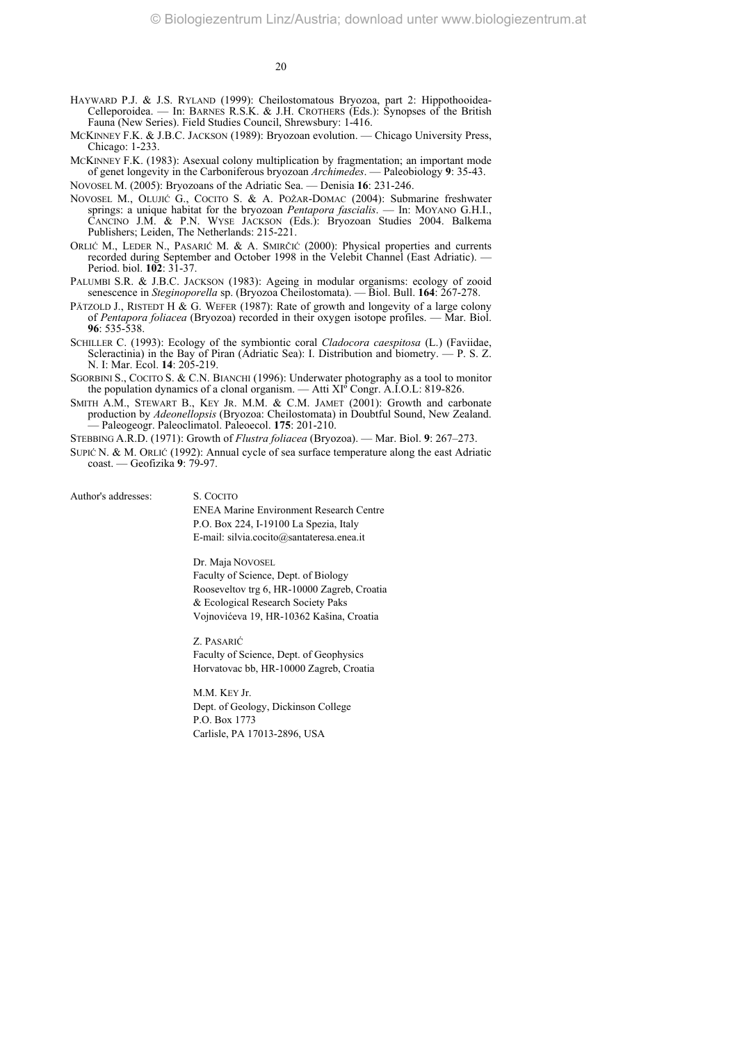- HAYWARD P.J. & J.S. RYLAND (1999): Cheilostomatous Bryozoa, part 2: Hippothooidea-Celleporoidea. — In: BARNES R.S.K. & J.H. CROTHERS (Eds.): Synopses of the British Fauna (New Series). Field Studies Council, Shrewsbury: 1-416.
- MCKINNEY F.K. & J.B.C. JACKSON (1989): Bryozoan evolution. Chicago University Press, Chicago: 1-233.
- MCKINNEY F.K. (1983): Asexual colony multiplication by fragmentation; an important mode of genet longevity in the Carboniferous bryozoan *Archimedes*. — Paleobiology **9**: 35-43.

NOVOSEL M. (2005): Bryozoans of the Adriatic Sea. — Denisia **16**: 231-246.

- NOVOSEL M., OLUJIĆ G., COCITO S. & A. POŽAR-DOMAC (2004): Submarine freshwater springs: a unique habitat for the bryozoan *Pentapora fascialis*. — In: MOYANO G.H.I., CANCINO J.M. & P.N. WYSE JACKSON (Eds.): Bryozoan Studies 2004. Balkema Publishers; Leiden, The Netherlands: 215-221.
- ORLIĆ M., LEDER N., PASARIĆ M. & A. SMIRČIĆ (2000): Physical properties and currents recorded during September and October 1998 in the Velebit Channel (East Adriatic). — Period. biol. **102**: 31-37.
- PALUMBI S.R. & J.B.C. JACKSON (1983): Ageing in modular organisms: ecology of zooid senescence in *Steginoporella* sp. (Bryozoa Cheilostomata). — Biol. Bull. **164**: 267-278.
- PÄTZOLD J., RISTEDT H & G. WEFER (1987): Rate of growth and longevity of a large colony of *Pentapora foliacea* (Bryozoa) recorded in their oxygen isotope profiles. — Mar. Biol. **96**: 535-538.
- SCHILLER C. (1993): Ecology of the symbiontic coral *Cladocora caespitosa* (L.) (Faviidae, Scleractinia) in the Bay of Piran (Adriatic Sea): I. Distribution and biometry.  $-$  P. S. Z. N. I: Mar. Ecol. **14**: 205-219.
- SGORBINI S., COCITO S. & C.N. BIANCHI (1996): Underwater photography as a tool to monitor the population dynamics of a clonal organism. — Atti  $XI^{\circ}$  Congr. A.I.O.L: 819-826.
- SMITH A.M., STEWART B., KEY JR. M.M. & C.M. JAMET (2001): Growth and carbonate production by *Adeonellopsis* (Bryozoa: Cheilostomata) in Doubtful Sound, New Zealand. — Paleogeogr. Paleoclimatol. Paleoecol. **175**: 201-210.

STEBBING A.R.D. (1971): Growth of *Flustra foliacea* (Bryozoa). — Mar. Biol. **9**: 267–273.

SUPIĆ N. & M. ORLIĆ (1992): Annual cycle of sea surface temperature along the east Adriatic coast. — Geofizika **9**: 79-97.

Author's addresses: S. COCITO

ENEA Marine Environment Research Centre P.O. Box 224, I-19100 La Spezia, Italy E-mail: silvia.cocito@santateresa.enea.it

Dr. Maja NOVOSEL

Faculty of Science, Dept. of Biology Rooseveltov trg 6, HR-10000 Zagreb, Croatia & Ecological Research Society Paks Vojnovićeva 19, HR-10362 Kašina, Croatia

Z. PASARIĆ Faculty of Science, Dept. of Geophysics Horvatovac bb, HR-10000 Zagreb, Croatia

M.M. KEY Jr. Dept. of Geology, Dickinson College P.O. Box 1773 Carlisle, PA 17013-2896, USA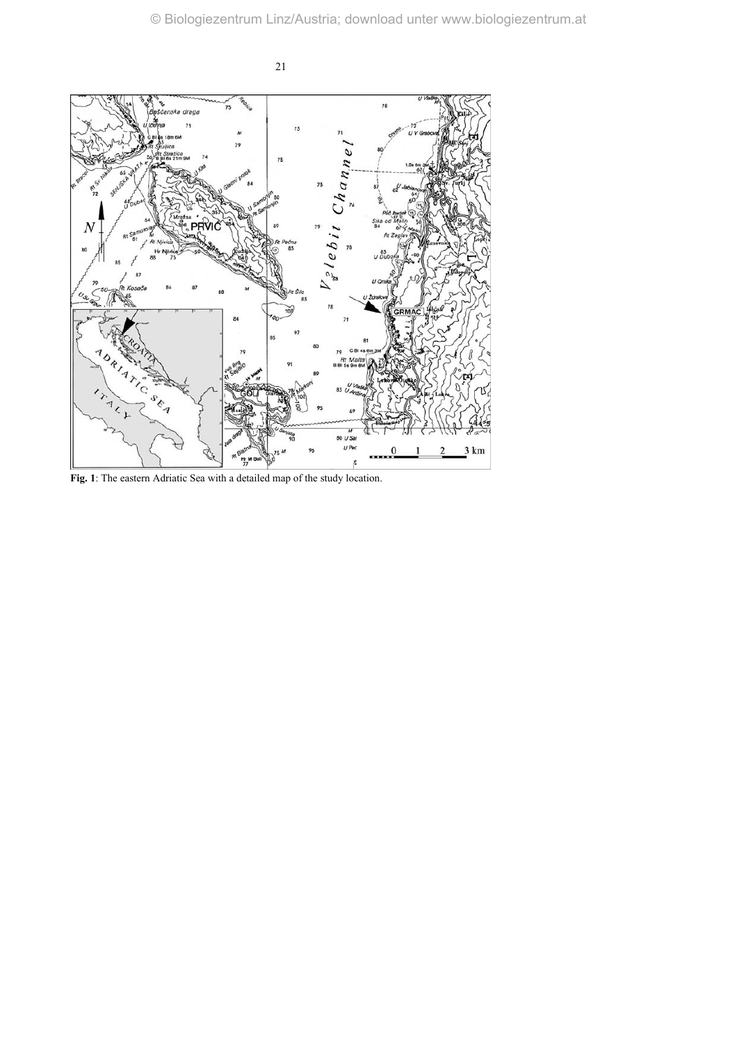

**Fig. 1**: The eastern Adriatic Sea with a detailed map of the study location.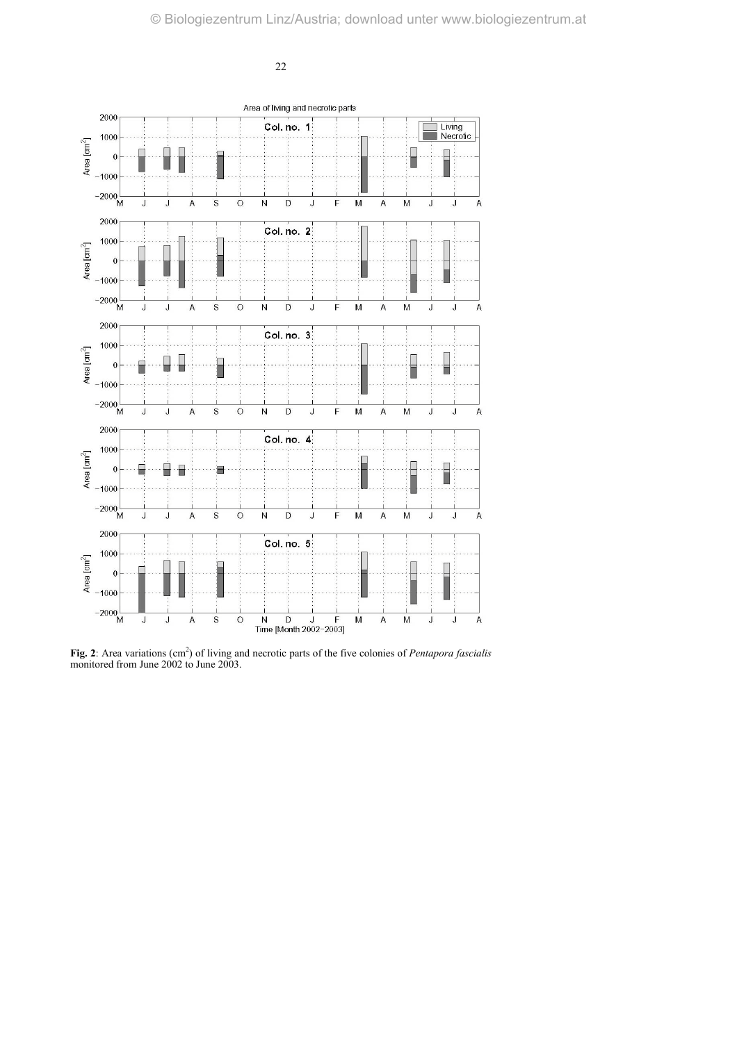

Fig. 2: Area variations (cm<sup>2</sup>) of living and necrotic parts of the five colonies of *Pentapora fascialis* monitored from June 2002 to June 2003.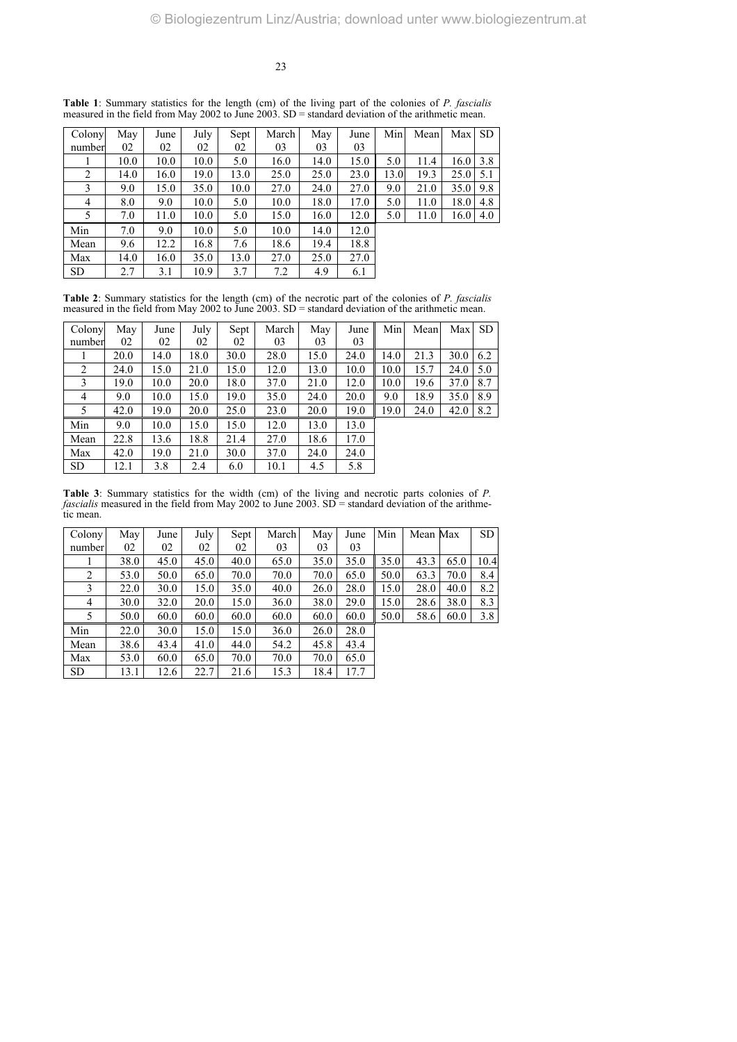| Colony    | May  | June | July | Sept | March | May  | June | Min  | Mean | Max SD |     |
|-----------|------|------|------|------|-------|------|------|------|------|--------|-----|
| number    | 02   | 02   | 02   | 02   | 03    | 03   | 03   |      |      |        |     |
|           | 10.0 | 10.0 | 10.0 | 5.0  | 16.0  | 14.0 | 15.0 | 5.0  | 11.4 | 16.0   | 3.8 |
| 2         | 14.0 | 16.0 | 19.0 | 13.0 | 25.0  | 25.0 | 23.0 | 13.0 | 19.3 | 25.0   | 5.1 |
| 3         | 9.0  | 15.0 | 35.0 | 10.0 | 27.0  | 24.0 | 27.0 | 9.0  | 21.0 | 35.0   | 9.8 |
| 4         | 8.0  | 9.0  | 10.0 | 5.0  | 10.0  | 18.0 | 17.0 | 5.0  | 11.0 | 18.0   | 4.8 |
| 5         | 7.0  | 11.0 | 10.0 | 5.0  | 15.0  | 16.0 | 12.0 | 5.0  | 11.0 | 16.0   | 4.0 |
| Min       | 7.0  | 9.0  | 10.0 | 5.0  | 10.0  | 14.0 | 12.0 |      |      |        |     |
| Mean      | 9.6  | 12.2 | 16.8 | 7.6  | 18.6  | 19.4 | 18.8 |      |      |        |     |
| Max       | 14.0 | 16.0 | 35.0 | 13.0 | 27.0  | 25.0 | 27.0 |      |      |        |     |
| <b>SD</b> | 2.7  | 3.1  | 10.9 | 3.7  | 7.2   | 4.9  | 6.1  |      |      |        |     |

**Table 1**: Summary statistics for the length (cm) of the living part of the colonies of *P. fascialis* measured in the field from May 2002 to June 2003. SD = standard deviation of the arithmetic mean.

**Table 2**: Summary statistics for the length (cm) of the necrotic part of the colonies of *P. fascialis* measured in the field from May 2002 to June 2003. SD = standard deviation of the arithmetic mean.

| Colony         | May  | June | July | Sept | March | May  | June | Min  | Mean | Max  | -SD |
|----------------|------|------|------|------|-------|------|------|------|------|------|-----|
| number         | 02   | 02   | 02   | 02   | 03    | 03   | 03   |      |      |      |     |
|                | 20.0 | 14.0 | 18.0 | 30.0 | 28.0  | 15.0 | 24.0 | 14.0 | 21.3 | 30.0 | 6.2 |
| 2              | 24.0 | 15.0 | 21.0 | 15.0 | 12.0  | 13.0 | 10.0 | 10.0 | 15.7 | 24.0 | 5.0 |
| 3              | 19.0 | 10.0 | 20.0 | 18.0 | 37.0  | 21.0 | 12.0 | 10.0 | 19.6 | 37.0 | 8.7 |
| $\overline{4}$ | 9.0  | 10.0 | 15.0 | 19.0 | 35.0  | 24.0 | 20.0 | 9.0  | 18.9 | 35.0 | 8.9 |
| 5              | 42.0 | 19.0 | 20.0 | 25.0 | 23.0  | 20.0 | 19.0 | 19.0 | 24.0 | 42.0 | 8.2 |
| Min            | 9.0  | 10.0 | 15.0 | 15.0 | 12.0  | 13.0 | 13.0 |      |      |      |     |
| Mean           | 22.8 | 13.6 | 18.8 | 21.4 | 27.0  | 18.6 | 17.0 |      |      |      |     |
| Max            | 42.0 | 19.0 | 21.0 | 30.0 | 37.0  | 24.0 | 24.0 |      |      |      |     |
| <b>SD</b>      | 12.1 | 3.8  | 2.4  | 6.0  | 10.1  | 4.5  | 5.8  |      |      |      |     |

**Table 3**: Summary statistics for the width (cm) of the living and necrotic parts colonies of *P. fascialis* measured in the field from May 2002 to June 2003. SD = standard deviation of the arithmetic mean.

| Colony    | May  | June | July | Sept | March | May  | June | Min  | Mean Max |      | SD.  |
|-----------|------|------|------|------|-------|------|------|------|----------|------|------|
| number    | 02   | 02   | 02   | 02   | 03    | 03   | 03   |      |          |      |      |
|           | 38.0 | 45.0 | 45.0 | 40.0 | 65.0  | 35.0 | 35.0 | 35.0 | 43.3     | 65.0 | 10.4 |
| 2         | 53.0 | 50.0 | 65.0 | 70.0 | 70.0  | 70.0 | 65.0 | 50.0 | 63.3     | 70.0 | 8.4  |
| 3         | 22.0 | 30.0 | 15.0 | 35.0 | 40.0  | 26.0 | 28.0 | 15.0 | 28.0     | 40.0 | 8.2  |
| 4         | 30.0 | 32.0 | 20.0 | 15.0 | 36.0  | 38.0 | 29.0 | 15.0 | 28.6     | 38.0 | 8.3  |
| 5         | 50.0 | 60.0 | 60.0 | 60.0 | 60.0  | 60.0 | 60.0 | 50.0 | 58.6     | 60.0 | 3.8  |
| Min       | 22.0 | 30.0 | 15.0 | 15.0 | 36.0  | 26.0 | 28.0 |      |          |      |      |
| Mean      | 38.6 | 43.4 | 41.0 | 44.0 | 54.2  | 45.8 | 43.4 |      |          |      |      |
| Max       | 53.0 | 60.0 | 65.0 | 70.0 | 70.0  | 70.0 | 65.0 |      |          |      |      |
| <b>SD</b> | 13.1 | 12.6 | 22.7 | 21.6 | 15.3  | 18.4 | 17.7 |      |          |      |      |